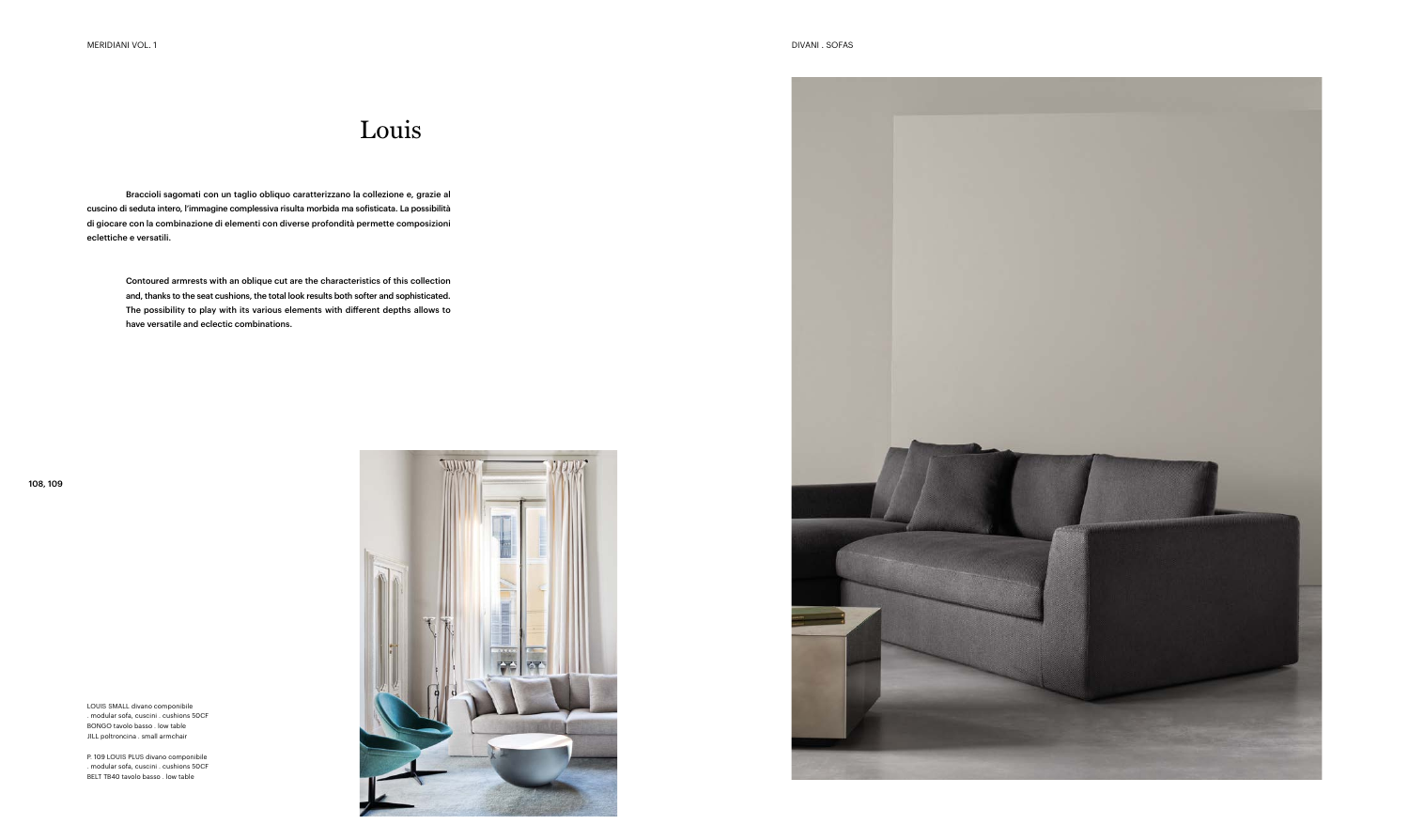LOUIS SMALL divano componibile . modular sofa, cuscini . cushions 50CF BONGO tavolo basso . low table JILL poltroncina . small armchair

P. 109 LOUIS PLUS divano componibile . modular sofa, cuscini . cushions 50CF BELT TB40 tavolo basso . low table





Braccioli sagomati con un taglio obliquo caratterizzano la collezione e, grazie al cuscino di seduta intero, l'immagine complessiva risulta morbida ma sofisticata. La possibilità di giocare con la combinazione di elementi con diverse profondità permette composizioni eclettiche e versatili.

> Contoured armrests with an oblique cut are the characteristics of this collection and, thanks to the seat cushions, the total look results both softer and sophisticated. The possibility to play with its various elements with different depths allows to have versatile and eclectic combinations.

# Louis

108, 109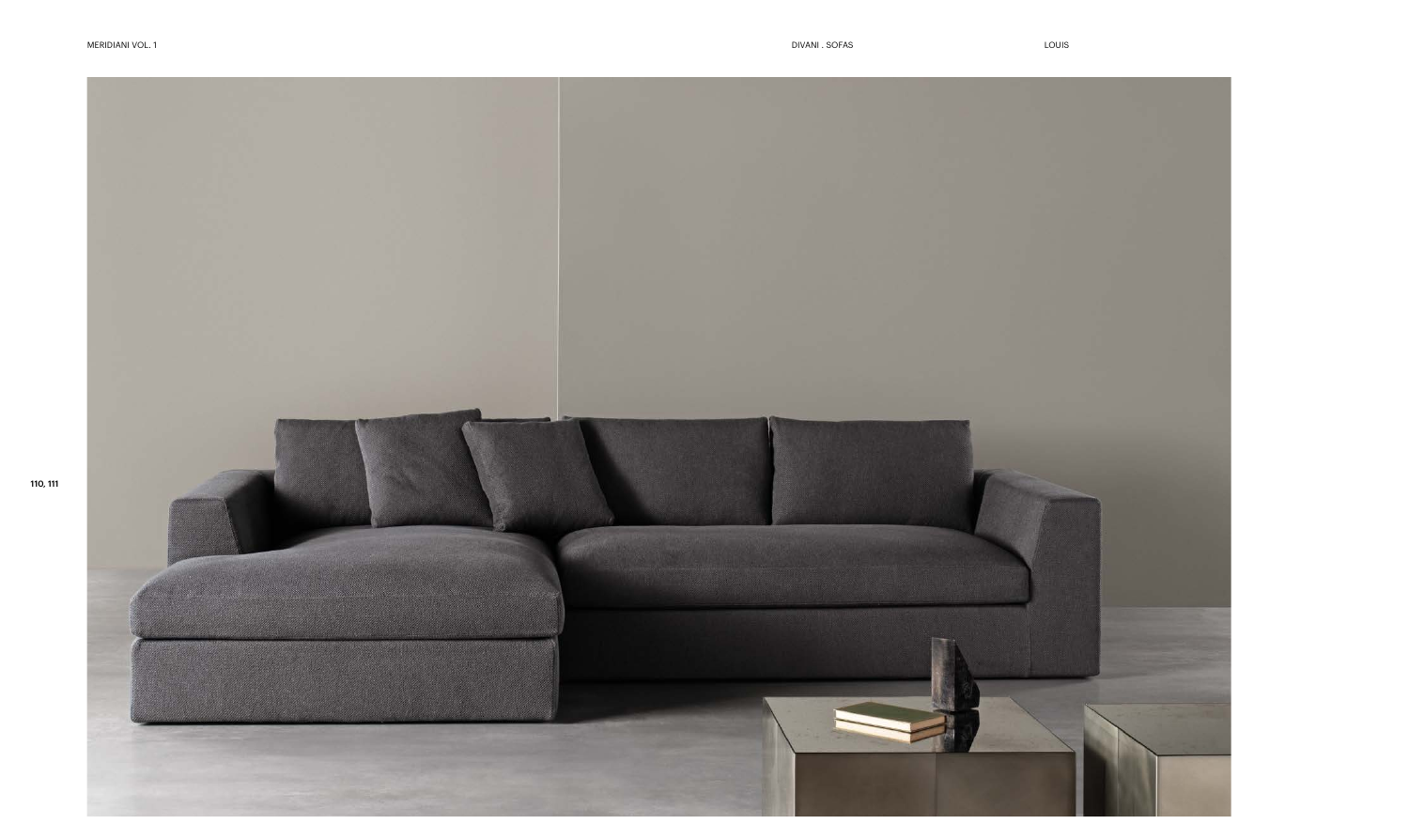

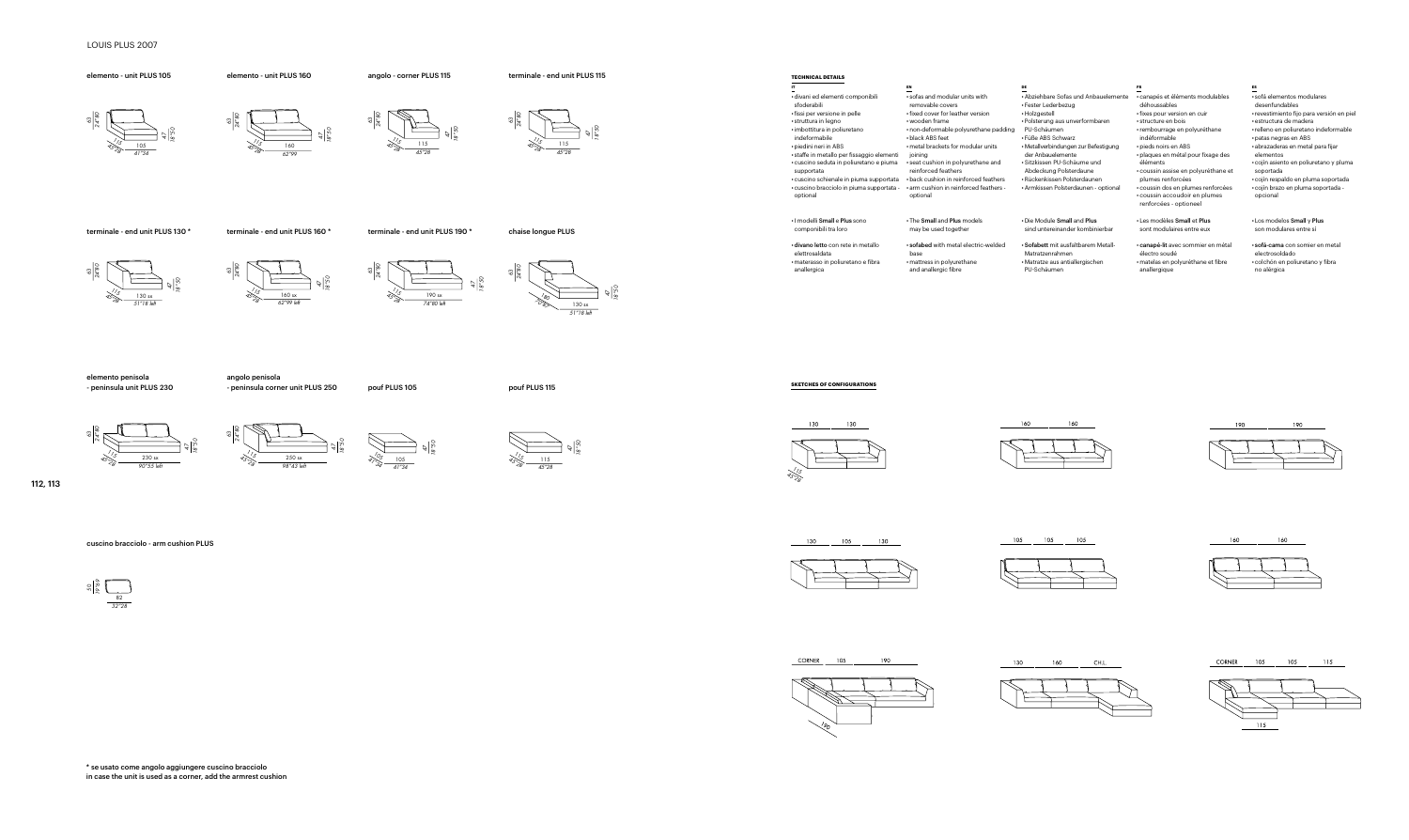# LOUIS PLUS 2007

cuscino bracciolo - arm cushion PLUS

82 *32"28* ຊ *19"69*

**EN**  $\cdot$  sofas and modul



| · sofas and modular units with    |
|-----------------------------------|
| removable covers                  |
| • fixed cover for leather version |
| • wooden frame                    |
| · non-deformable polyurethane pad |
|                                   |

• black ABS feet

ioining

• metal brackets for modular units

reinforced feathers

optional

• The Small and Plus models may be used together

• sofabed with metal electric-welded

base

130 105 130

190

CORNER 105

• mattress in polyurethane and anallergic fibre

# **DE**

#### •Abziehbare Sofas und Anbauelemente • Fester Lederbezug • Holzgestell • Polsterung aus unverformbaren adding PU-Schäumen • Füße ABS Schwarz • Metallverbindungen zur Befestigung der Anbauelemente • Sitzkissen PU-Schäume und Abdeckung Polsterdaune • Rückenkissen Polsterdaunen •Armkissen Polsterdaunen - optional

#### •Die Module Small and Plus sind untereinander kombinierbar

#### • Sofabett mit ausfaltbarem Metall-Matratzenrahmen • Matratze aus antiallergischen PU-Schäumen

### **FR**

- canapés et éléments modulables déhoussables
- •fixes pour version en cuir
- structure en bois
- •rembourrage en polyuréthane indéformable
- pieds noirs en ABS
- plaques en métal pour fixage des éléments
- coussin assise en polyuréthane et plumes renforcées
- coussin dos en plumes renforcées • coussin accoudoir en plumes renforcées - optioneel
- Les modèles Small et Plus sont modulaires entre eux
- canapé-lit avec sommier en métal électro soudé
- matelas en polyuréthane et fibre anallergique

#### **ES**

- sofá elementos modulares
- desenfundables
- •revestimiento fijo para versión en piel • estructura de madera
- •relleno en poliuretano indeformable
- patas negras en ABS
- abrazaderas en metal para fijar elementos
- cojín asiento en poliuretano y pluma soportada
- cojín respaldo en pluma soportada
- cojín brazo en pluma soportada opcional
- Los modelos Small y Plus son modulares entre sí
- sofá-cama con somier en metal
- electrosoldado
- colchón en poliuretano y fibra
- no alérgica





160

160













\* se usato come angolo aggiungere cuscino bracciolo

in case the unit is used as a corner, add the armrest cushion

112, 113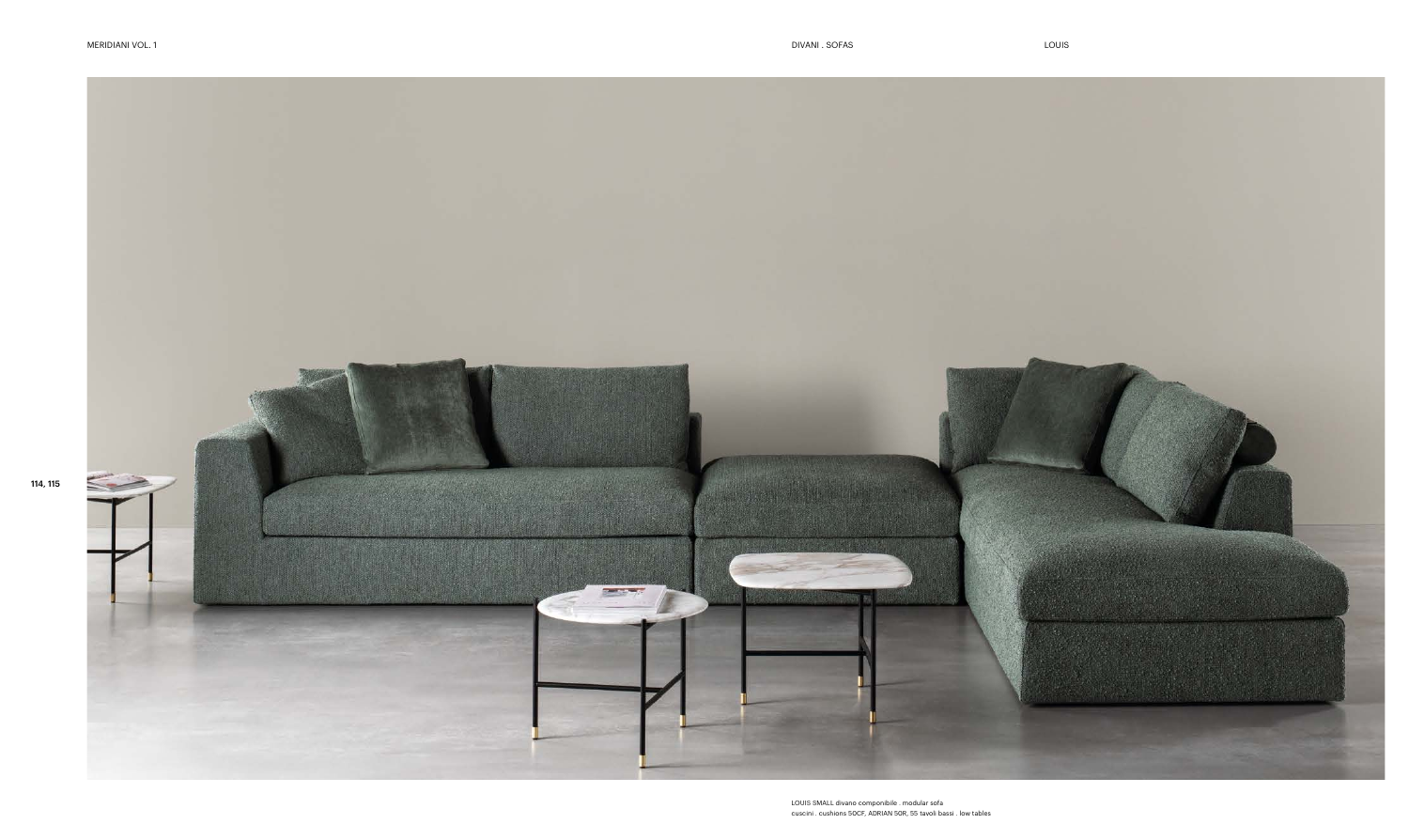

LOUIS SMALL divano componibile . modular sofa cuscini . cushions 50CF, ADRIAN 50R, 55 tavoli bassi . low tables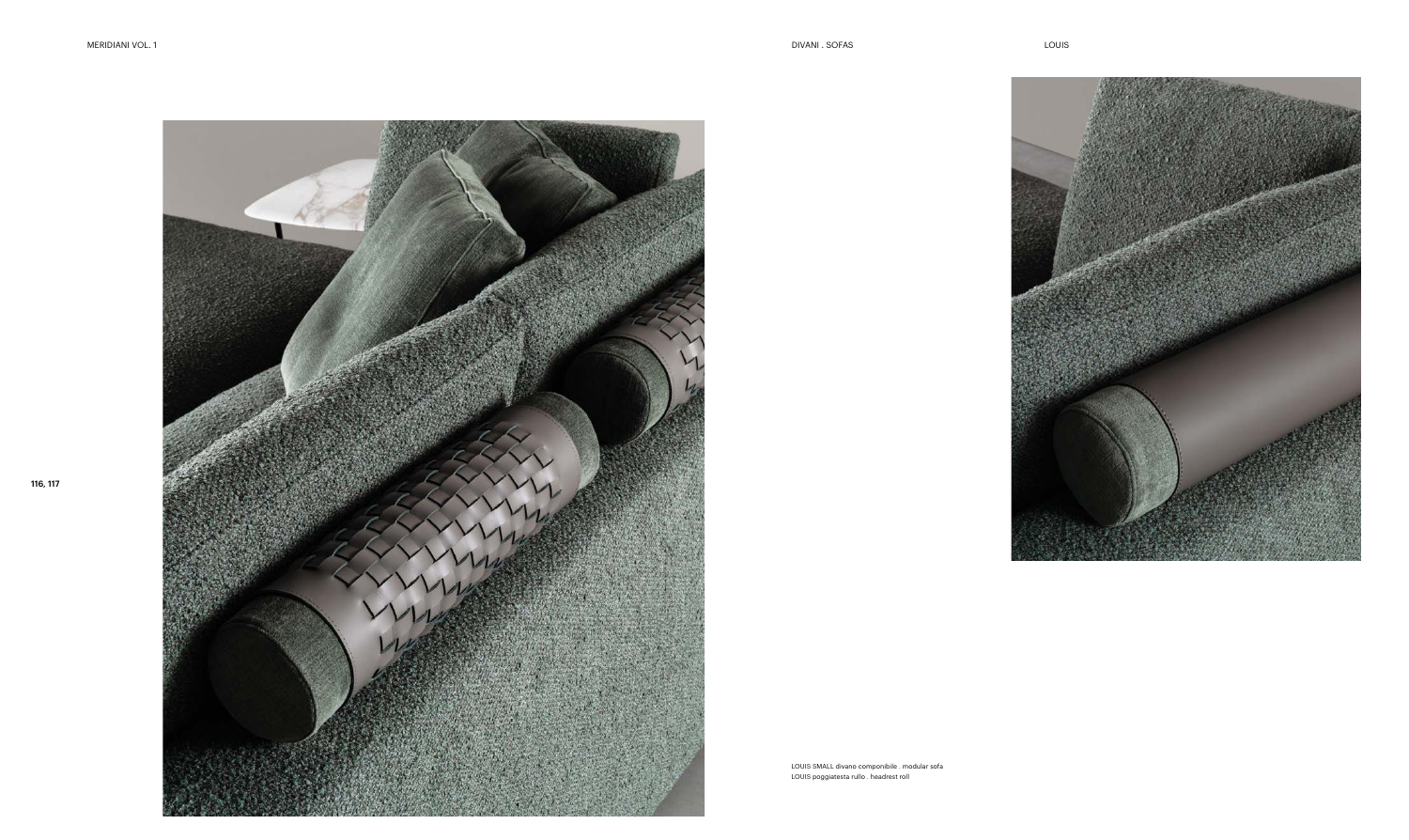

LOUIS SMALL divano componibile . modular sofa<br>LOUIS poggiatesta rullo . headrest roll

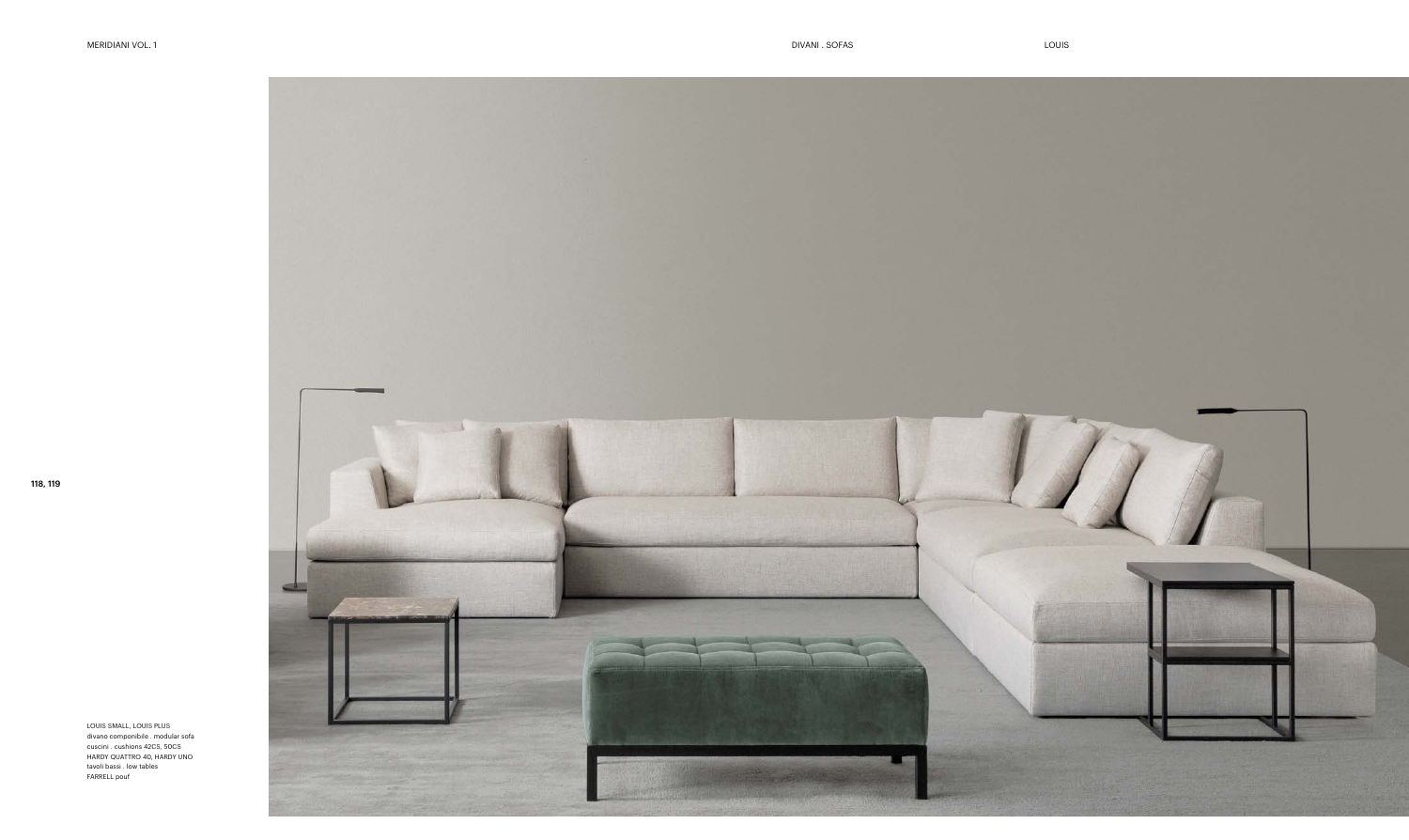

118, 119

LOUIS SMALL, LOUIS PLUS divano componibile . modular sofa cuscini . cushions 42CS, 50CS HARDY QUATTRO 40, HARDY UNO tavoli bassi . low tables FARRELL pouf